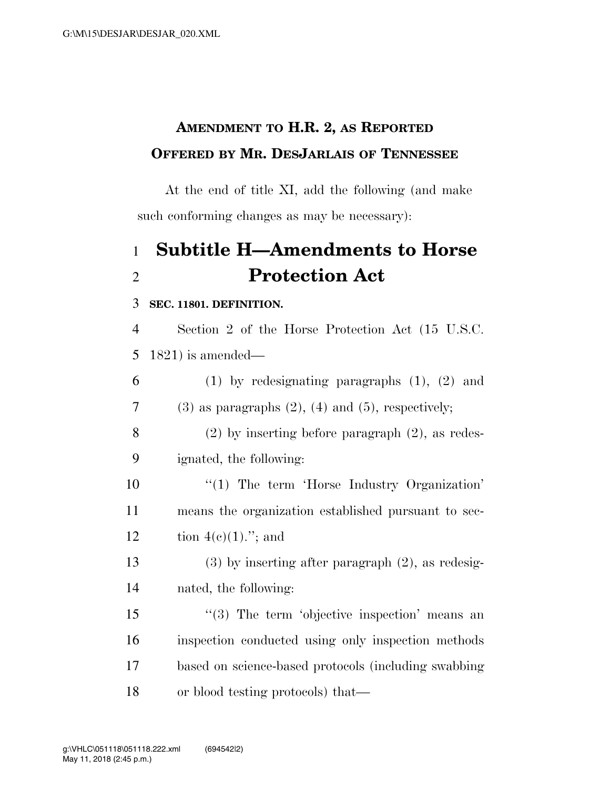## **AMENDMENT TO H.R. 2, AS REPORTED OFFERED BY MR. DESJARLAIS OF TENNESSEE**

At the end of title XI, add the following (and make such conforming changes as may be necessary):

# 1 **Subtitle H—Amendments to Horse**  2 **Protection Act**

#### 3 **SEC. 11801. DEFINITION.**

4 Section 2 of the Horse Protection Act (15 U.S.C. 5 1821) is amended—

6 (1) by redesignating paragraphs (1), (2) and 7 (3) as paragraphs  $(2)$ ,  $(4)$  and  $(5)$ , respectively; 8 (2) by inserting before paragraph (2), as redes-9 ignated, the following: 10 "(1) The term 'Horse Industry Organization' 11 means the organization established pursuant to sec-12 tion  $4(e)(1)$ ."; and

13 (3) by inserting after paragraph (2), as redesig-14 nated, the following:

15 "(3) The term 'objective inspection' means an inspection conducted using only inspection methods based on science-based protocols (including swabbing or blood testing protocols) that—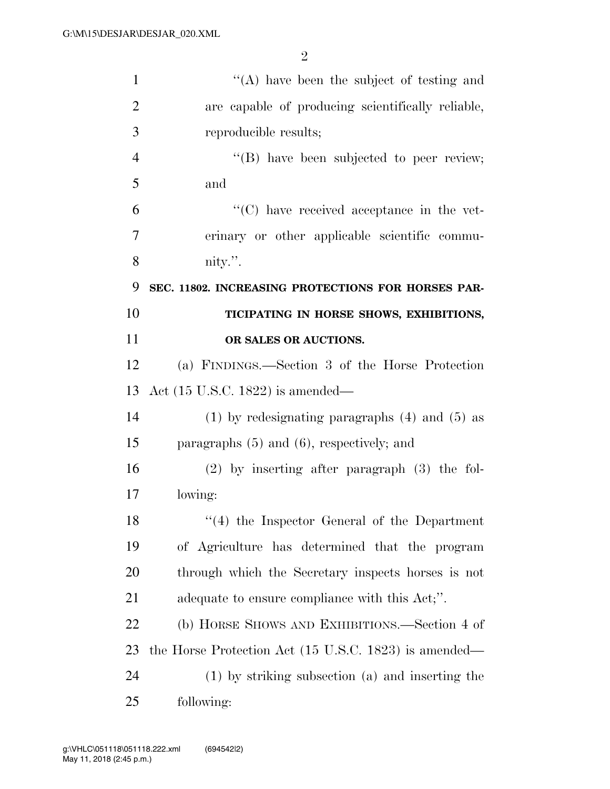| $\mathbf{1}$   | $\lq\lq$ have been the subject of testing and         |
|----------------|-------------------------------------------------------|
| $\overline{2}$ | are capable of producing scientifically reliable,     |
| 3              | reproducible results;                                 |
| $\overline{4}$ | $\lq\lq$ (B) have been subjected to peer review;      |
| 5              | and                                                   |
| 6              | "(C) have received acceptance in the vet-             |
| 7              | erinary or other applicable scientific commu-         |
| 8              | nity.".                                               |
| 9              | SEC. 11802. INCREASING PROTECTIONS FOR HORSES PAR-    |
| 10             | TICIPATING IN HORSE SHOWS, EXHIBITIONS,               |
| 11             | OR SALES OR AUCTIONS.                                 |
| 12             | (a) FINDINGS.—Section 3 of the Horse Protection       |
| 13             | Act $(15 \text{ U.S.C. } 1822)$ is amended—           |
| 14             | $(1)$ by redesignating paragraphs $(4)$ and $(5)$ as  |
| 15             | paragraphs $(5)$ and $(6)$ , respectively; and        |
| 16             | $(2)$ by inserting after paragraph $(3)$ the fol-     |
| 17             | lowing:                                               |
| 18             | "(4) the Inspector General of the Department          |
| 19             | of Agriculture has determined that the program        |
| 20             | through which the Secretary inspects horses is not    |
| 21             | adequate to ensure compliance with this Act,".        |
| 22             | (b) HORSE SHOWS AND EXHIBITIONS.—Section 4 of         |
| 23             | the Horse Protection Act (15 U.S.C. 1823) is amended— |
| 24             | $(1)$ by striking subsection $(a)$ and inserting the  |
| 25             | following:                                            |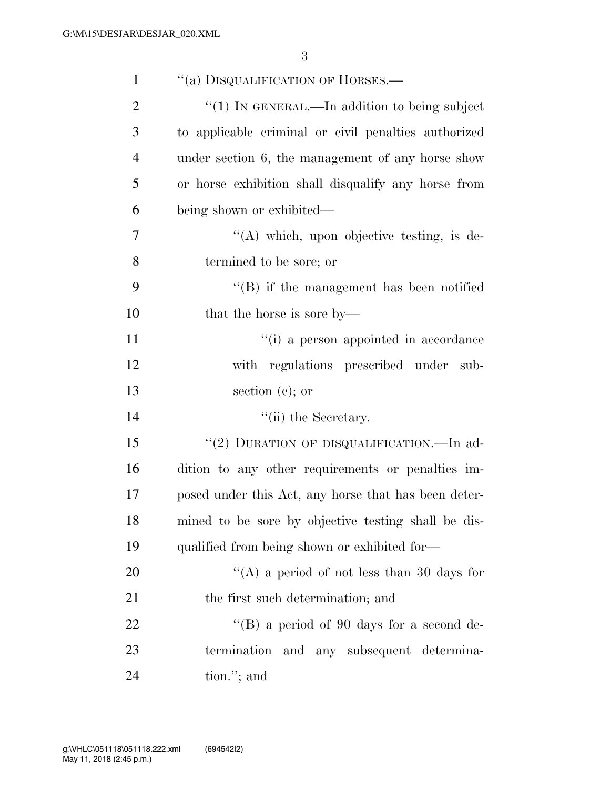| $\mathbf{1}$   | "(a) DISQUALIFICATION OF HORSES.—                    |
|----------------|------------------------------------------------------|
| $\overline{2}$ | " $(1)$ In GENERAL.—In addition to being subject     |
| 3              | to applicable criminal or civil penalties authorized |
| $\overline{4}$ | under section 6, the management of any horse show    |
| 5              | or horse exhibition shall disqualify any horse from  |
| 6              | being shown or exhibited—                            |
| 7              | $\lq\lq$ which, upon objective testing, is de-       |
| 8              | termined to be sore; or                              |
| 9              | $\lq\lq$ ) if the management has been notified       |
| 10             | that the horse is sore by—                           |
| 11             | "(i) a person appointed in accordance                |
| 12             | with regulations prescribed under sub-               |
| 13             | section $(c)$ ; or                                   |
| 14             | $\lq\lq$ (ii) the Secretary.                         |
| 15             | "(2) DURATION OF DISQUALIFICATION.—In ad-            |
| 16             | dition to any other requirements or penalties im-    |
| 17             | posed under this Act, any horse that has been deter- |
| 18             | mined to be sore by objective testing shall be dis-  |
| 19             | qualified from being shown or exhibited for-         |
| 20             | "(A) a period of not less than 30 days for           |
| 21             | the first such determination; and                    |
| 22             | "(B) a period of 90 days for a second de-            |
| 23             | termination and any subsequent determina-            |
| 24             | tion."; and                                          |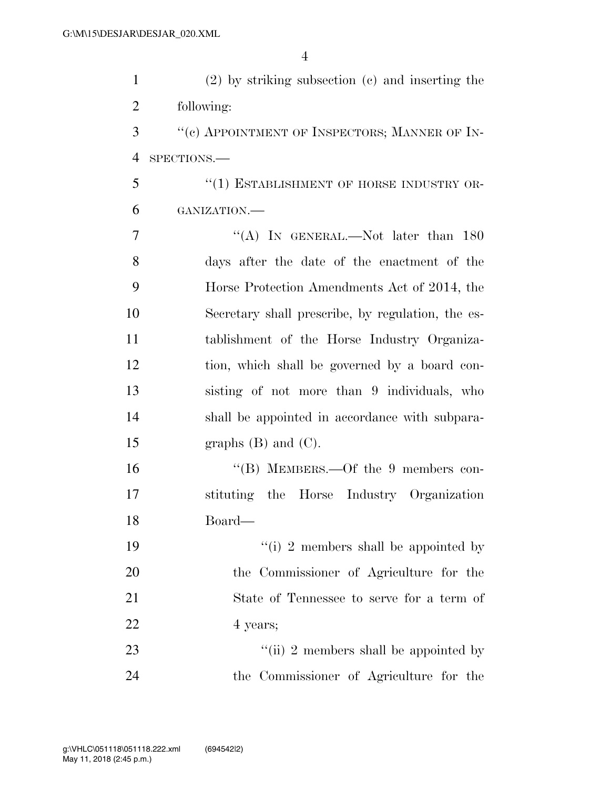| $\mathbf{1}$   | $(2)$ by striking subsection $(e)$ and inserting the |
|----------------|------------------------------------------------------|
| $\overline{2}$ | following:                                           |
| 3              | "(c) APPOINTMENT OF INSPECTORS; MANNER OF IN-        |
| 4              | SPECTIONS.-                                          |
| 5              | "(1) ESTABLISHMENT OF HORSE INDUSTRY OR-             |
| 6              | GANIZATION.-                                         |
| 7              | "(A) IN GENERAL.—Not later than $180$                |
| 8              | days after the date of the enactment of the          |
| 9              | Horse Protection Amendments Act of 2014, the         |
| 10             | Secretary shall prescribe, by regulation, the es-    |
| 11             | tablishment of the Horse Industry Organiza-          |
| 12             | tion, which shall be governed by a board con-        |
| 13             | sisting of not more than 9 individuals, who          |
| 14             | shall be appointed in accordance with subpara-       |
| 15             | graphs $(B)$ and $(C)$ .                             |
| 16             | "(B) MEMBERS.—Of the 9 members con-                  |
| 17             | stituting the Horse Industry Organization            |
| 18             | Board-                                               |
| 19             | "(i) 2 members shall be appointed by                 |
| 20             | the Commissioner of Agriculture for the              |
| 21             | State of Tennessee to serve for a term of            |
| 22             | 4 years;                                             |
| 23             | "(ii) 2 members shall be appointed by                |
| 24             | the Commissioner of Agriculture for the              |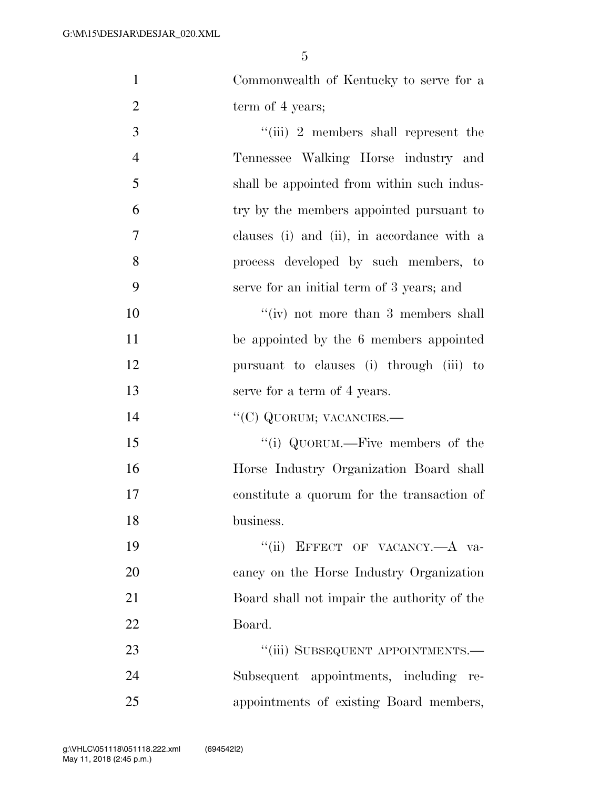| $\mathbf{1}$   | Commonwealth of Kentucky to serve for a     |
|----------------|---------------------------------------------|
| $\overline{2}$ | term of 4 years;                            |
| 3              | "(iii) 2 members shall represent the        |
| $\overline{4}$ | Tennessee Walking Horse industry and        |
| 5              | shall be appointed from within such indus-  |
| 6              | try by the members appointed pursuant to    |
| 7              | clauses (i) and (ii), in accordance with a  |
| 8              | process developed by such members, to       |
| 9              | serve for an initial term of 3 years; and   |
| 10             | $``(iv)$ not more than 3 members shall      |
| 11             | be appointed by the 6 members appointed     |
| 12             | pursuant to clauses (i) through (iii) to    |
| 13             | serve for a term of 4 years.                |
| 14             | "(C) QUORUM; VACANCIES.-                    |
| 15             | "(i) QUORUM.—Five members of the            |
| 16             | Horse Industry Organization Board shall     |
| 17             | constitute a quorum for the transaction of  |
| 18             | business.                                   |
| 19             | "(ii) EFFECT OF VACANCY.—A va-              |
| 20             | cancy on the Horse Industry Organization    |
| 21             | Board shall not impair the authority of the |
| 22             | Board.                                      |
| 23             | "(iii) SUBSEQUENT APPOINTMENTS.-            |
| 24             | Subsequent appointments, including<br>re-   |
| 25             | appointments of existing Board members,     |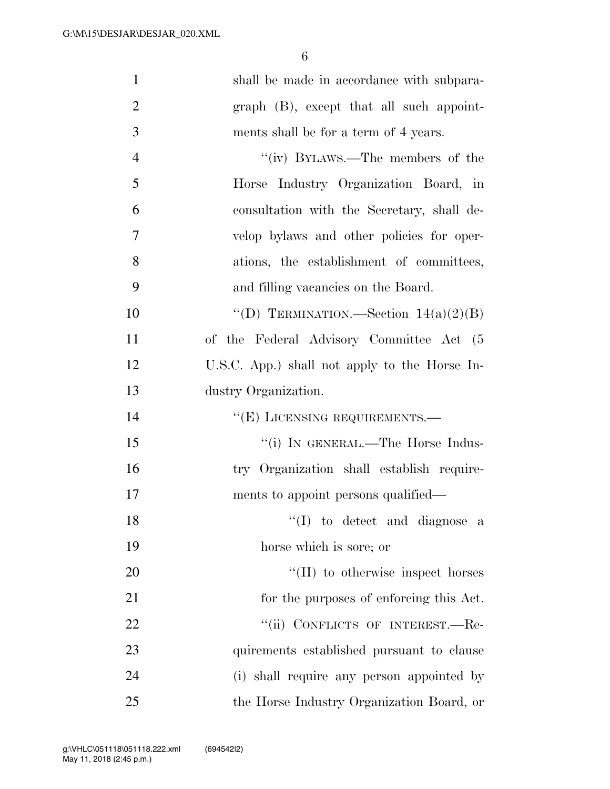| $\mathbf{1}$   | shall be made in accordance with subpara-     |
|----------------|-----------------------------------------------|
| $\overline{2}$ | graph (B), except that all such appoint-      |
| 3              | ments shall be for a term of 4 years.         |
| $\overline{4}$ | "(iv) BYLAWS.—The members of the              |
| 5              | Horse Industry Organization Board, in         |
| 6              | consultation with the Secretary, shall de-    |
| $\tau$         | velop bylaws and other policies for oper-     |
| 8              | ations, the establishment of committees,      |
| 9              | and filling vacancies on the Board.           |
| 10             | "(D) TERMINATION.—Section $14(a)(2)(B)$       |
| 11             | of the Federal Advisory Committee Act (5      |
| 12             | U.S.C. App.) shall not apply to the Horse In- |
| 13             | dustry Organization.                          |
| 14             | "(E) LICENSING REQUIREMENTS.—                 |
| 15             | "(i) IN GENERAL.—The Horse Indus-             |
| 16             | try Organization shall establish require-     |
| 17             | ments to appoint persons qualified—           |
| 18             | "(I) to detect and diagnose a                 |
| 19             | horse which is sore; or                       |
| 20             | $\lq\lq$ (II) to otherwise inspect horses     |
| 21             | for the purposes of enforcing this Act.       |
| 22             | "(ii) CONFLICTS OF INTEREST.—Re-              |
| 23             | quirements established pursuant to clause     |
| 24             | (i) shall require any person appointed by     |
| 25             | the Horse Industry Organization Board, or     |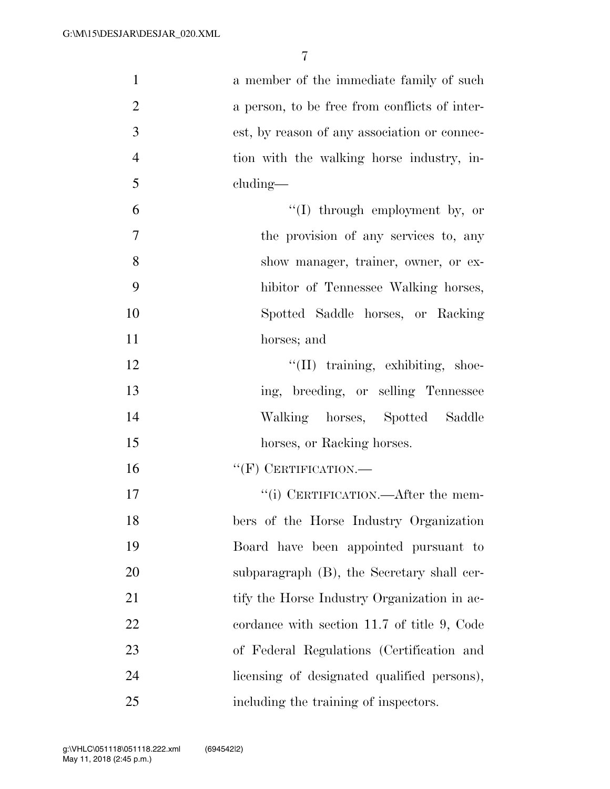| $\mathbf{1}$   | a member of the immediate family of such      |
|----------------|-----------------------------------------------|
| $\overline{2}$ | a person, to be free from conflicts of inter- |
| 3              | est, by reason of any association or connec-  |
| $\overline{4}$ | tion with the walking horse industry, in-     |
| 5              | cluding—                                      |
| 6              | "(I) through employment by, or                |
| $\tau$         | the provision of any services to, any         |
| 8              | show manager, trainer, owner, or ex-          |
| 9              | hibitor of Tennessee Walking horses,          |
| 10             | Spotted Saddle horses, or Racking             |
| 11             | horses; and                                   |
| 12             | "(II) training, exhibiting, shoe-             |
| 13             | ing, breeding, or selling Tennessee           |
| 14             | Walking horses, Spotted Saddle                |
| 15             | horses, or Racking horses.                    |
| 16             | $``$ (F) CERTIFICATION.—                      |
| 17             | "(i) CERTIFICATION.—After the mem-            |
| 18             | bers of the Horse Industry Organization       |
| 19             | Board have been appointed pursuant to         |
| 20             | subparagraph (B), the Secretary shall cer-    |
| 21             | tify the Horse Industry Organization in ac-   |
| 22             | cordance with section 11.7 of title 9, Code   |
| 23             | of Federal Regulations (Certification and     |
| 24             | licensing of designated qualified persons),   |
| 25             | including the training of inspectors.         |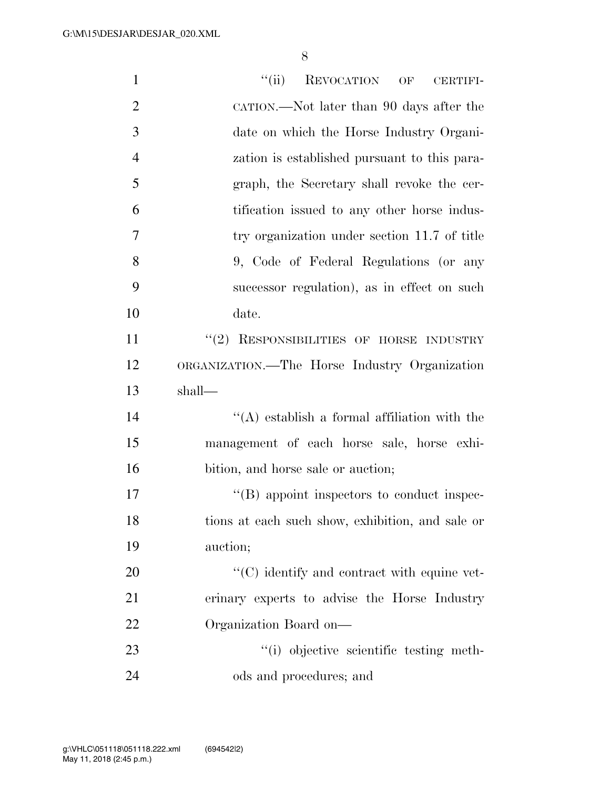| $\mathbf{1}$   | ``(ii)<br><b>REVOCATION</b><br>OF<br><b>CERTIFI-</b> |
|----------------|------------------------------------------------------|
| $\overline{2}$ | CATION.—Not later than 90 days after the             |
| 3              | date on which the Horse Industry Organi-             |
| $\overline{4}$ | zation is established pursuant to this para-         |
| 5              | graph, the Secretary shall revoke the cer-           |
| 6              | tification issued to any other horse indus-          |
| 7              | try organization under section 11.7 of title         |
| 8              | 9, Code of Federal Regulations (or any               |
| 9              | successor regulation), as in effect on such          |
| 10             | date.                                                |
| 11             | "(2) RESPONSIBILITIES OF HORSE INDUSTRY              |
| 12             | ORGANIZATION.—The Horse Industry Organization        |
| 13             | shall—                                               |
| 14             | $\lq\lq$ establish a formal affiliation with the     |
| 15             | management of each horse sale, horse exhi-           |
| 16             | bition, and horse sale or auction;                   |
| 17             | "(B) appoint inspectors to conduct inspec-           |
| 18             | tions at each such show, exhibition, and sale or     |
| 19             | auction;                                             |
| 20             | $\cdot$ (C) identify and contract with equine vet-   |
| 21             | erinary experts to advise the Horse Industry         |
| 22             | Organization Board on-                               |
| 23             | "(i) objective scientific testing meth-              |
| 24             | ods and procedures; and                              |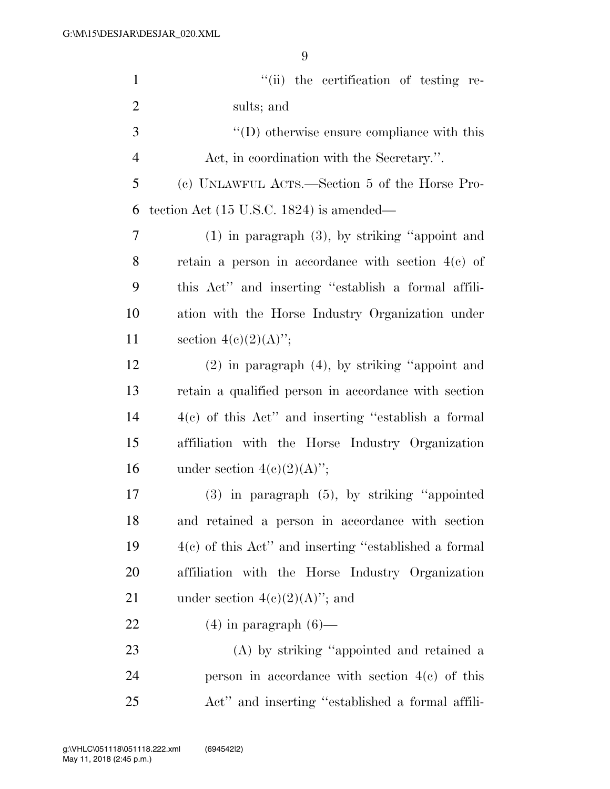| $\mathbf{1}$   | "(ii) the certification of testing re-                  |
|----------------|---------------------------------------------------------|
| $\overline{2}$ | sults; and                                              |
| 3              | $\lq\lq$ (D) otherwise ensure compliance with this      |
| $\overline{4}$ | Act, in coordination with the Secretary.".              |
| 5              | (c) UNLAWFUL ACTS.—Section 5 of the Horse Pro-          |
| 6              | tection Act $(15 \text{ U.S.C. } 1824)$ is amended—     |
| $\overline{7}$ | $(1)$ in paragraph $(3)$ , by striking "appoint and     |
| 8              | retain a person in accordance with section $4(c)$ of    |
| 9              | this Act" and inserting "establish a formal affili-     |
| 10             | ation with the Horse Industry Organization under        |
| 11             | section $4(e)(2)(A)$ ";                                 |
| 12             | $(2)$ in paragraph $(4)$ , by striking "appoint and     |
| 13             | retain a qualified person in accordance with section    |
| 14             | $4(c)$ of this Act" and inserting "establish a formal   |
| 15             | affiliation with the Horse Industry Organization        |
| 16             | under section $4(c)(2)(A)$ ";                           |
| $17\,$         | $(3)$ in paragraph $(5)$ , by striking "appointed"      |
| 18             | and retained a person in accordance with section        |
| 19             | $4(c)$ of this Act" and inserting "established a formal |
| 20             | affiliation with the Horse Industry Organization        |
| 21             | under section $4(c)(2)(A)$ "; and                       |
| 22             | $(4)$ in paragraph $(6)$ —                              |
| 23             | (A) by striking "appointed and retained a               |
| 24             | person in accordance with section $4(e)$ of this        |
| 25             | Act" and inserting "established a formal affili-        |